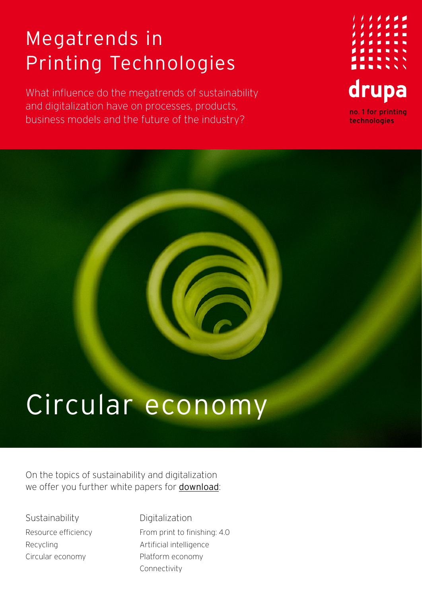## Megatrends in Printing Technologies

What influence do the megatrends of sustainability and digitalization have on processes, products, business models and the future of the industry?



## Circular economy

On the topics of sustainability and digitalization we offer you further white papers for [download](https://www.drupa.com/drupa_maintopics_EN):

**Sustainability** Resource efficiency Recycling Circular economy

Digitalization From print to finishing: 4.0 Artificial intelligence Platform economy Connectivity